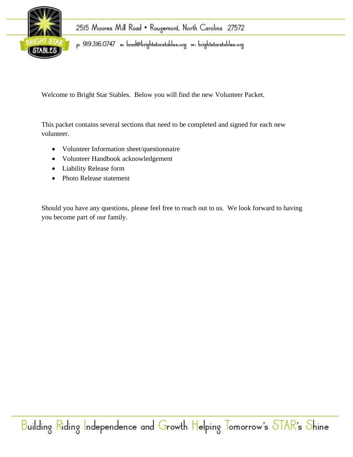

p: 919.316.0747 e: brad@brightstarstables.org w: brightstarstables.org

Welcome to Bright Star Stables. Below you will find the new Volunteer Packet.

This packet contains several sections that need to be completed and signed for each new volunteer.

- Volunteer Information sheet/questionnaire
- Volunteer Handbook acknowledgement
- Liability Release form
- Photo Release statement

Should you have any questions, please feel free to reach out to us. We look forward to having you become part of our family.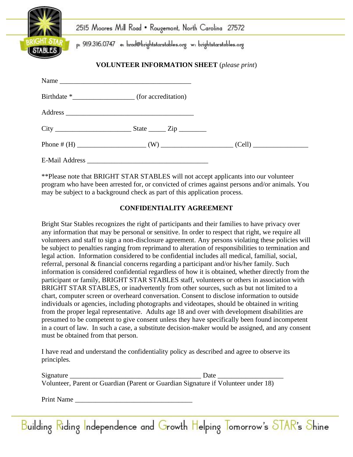|                                                   | 2515 Moores Mill Road • Rougemont, North Carolina 27572                |  |  |  |
|---------------------------------------------------|------------------------------------------------------------------------|--|--|--|
| <b>STABLES</b>                                    | p: 919.316.0747 e: brad@brightstarstables.org w: brightstarstables.org |  |  |  |
| <b>VOLUNTEER INFORMATION SHEET</b> (please print) |                                                                        |  |  |  |
|                                                   |                                                                        |  |  |  |
|                                                   |                                                                        |  |  |  |
|                                                   |                                                                        |  |  |  |
|                                                   |                                                                        |  |  |  |
|                                                   | Phone # $(H)$ (W) (Cell) (Cell)                                        |  |  |  |

E-Mail Address \_\_\_\_\_\_\_\_\_\_\_\_\_\_\_\_\_\_\_\_\_\_\_\_\_\_\_\_\_\_\_\_\_\_\_

\*\*Please note that BRIGHT STAR STABLES will not accept applicants into our volunteer program who have been arrested for, or convicted of crimes against persons and/or animals. You may be subject to a background check as part of this application process.

#### **CONFIDENTIALITY AGREEMENT**

Bright Star Stables recognizes the right of participants and their families to have privacy over any information that may be personal or sensitive. In order to respect that right, we require all volunteers and staff to sign a non-disclosure agreement. Any persons violating these policies will be subject to penalties ranging from reprimand to alteration of responsibilities to termination and legal action. Information considered to be confidential includes all medical, familial, social, referral, personal & financial concerns regarding a participant and/or his/her family. Such information is considered confidential regardless of how it is obtained, whether directly from the participant or family, BRIGHT STAR STABLES staff, volunteers or others in association with BRIGHT STAR STABLES, or inadvertently from other sources, such as but not limited to a chart, computer screen or overheard conversation. Consent to disclose information to outside individuals or agencies, including photographs and videotapes, should be obtained in writing from the proper legal representative. Adults age 18 and over with development disabilities are presumed to be competent to give consent unless they have specifically been found incompetent in a court of law. In such a case, a substitute decision-maker would be assigned, and any consent must be obtained from that person.

I have read and understand the confidentiality policy as described and agree to observe its principles.

| Signature | Date                                                                               |  |  |
|-----------|------------------------------------------------------------------------------------|--|--|
|           | Volunteer, Parent or Guardian (Parent or Guardian Signature if Volunteer under 18) |  |  |

Print Name \_\_\_\_\_\_\_\_\_\_\_\_\_\_\_\_\_\_\_\_\_\_\_\_\_\_\_\_\_\_\_\_\_\_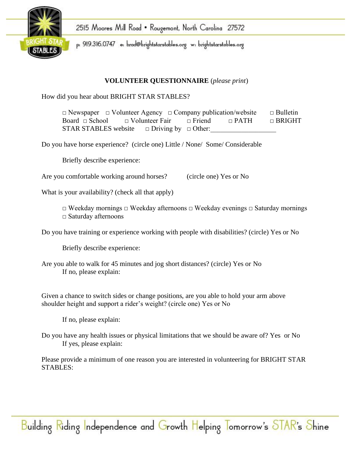

p: 919.316.0747 e: brad@brightstarstables.org w: brightstarstables.org

## **VOLUNTEER QUESTIONNAIRE** (*please print*)

How did you hear about BRIGHT STAR STABLES?

□ Newspaper □ Volunteer Agency □ Company publication/website □ Bulletin Board □ School □ Volunteer Fair □ Friend □ PATH □ BRIGHT STAR STABLES website  $\Box$  Driving by  $\Box$  Other:

Do you have horse experience? (circle one) Little / None/ Some/ Considerable

Briefly describe experience:

Are you comfortable working around horses? (circle one) Yes or No

What is your availability? (check all that apply)

□ Weekday mornings □ Weekday afternoons □ Weekday evenings □ Saturday mornings □ Saturday afternoons

Do you have training or experience working with people with disabilities? (circle) Yes or No

Briefly describe experience:

Are you able to walk for 45 minutes and jog short distances? (circle) Yes or No If no, please explain:

Given a chance to switch sides or change positions, are you able to hold your arm above shoulder height and support a rider's weight? (circle one) Yes or No

If no, please explain:

Do you have any health issues or physical limitations that we should be aware of? Yes or No If yes, please explain:

Please provide a minimum of one reason you are interested in volunteering for BRIGHT STAR STABLES: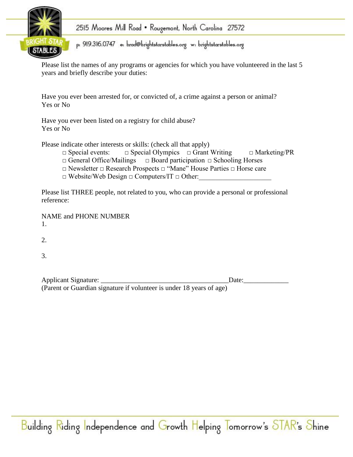

p: 919.316.0747 e: brad@brightstarstables.org w: brightstarstables.org

Please list the names of any programs or agencies for which you have volunteered in the last 5 years and briefly describe your duties:

Have you ever been arrested for, or convicted of, a crime against a person or animal? Yes or No

Have you ever been listed on a registry for child abuse? Yes or No

Please indicate other interests or skills: (check all that apply)

- □ Special events: □ Special Olympics □ Grant Writing □ Marketing/PR
- □ General Office/Mailings □ Board participation □ Schooling Horses
- □ Newsletter □ Research Prospects □ "Mane" House Parties □ Horse care
- $\Box$  Website/Web Design  $\Box$  Computers/IT  $\Box$  Other:

Please list THREE people, not related to you, who can provide a personal or professional reference:

NAME and PHONE NUMBER 1.

2.

3.

| Applicant Signature: |                                                                      | Date: |  |
|----------------------|----------------------------------------------------------------------|-------|--|
|                      | (Parent or Guardian signature if volunteer is under 18 years of age) |       |  |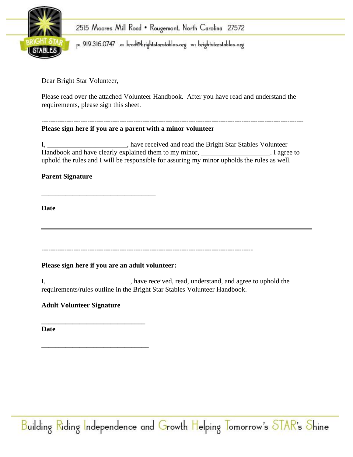

p: 919.316.0747 e: brad@brightstarstables.org w: brightstarstables.org

Dear Bright Star Volunteer,

Please read over the attached Volunteer Handbook. After you have read and understand the requirements, please sign this sheet.

#### ------------------------------------------------------------------------------------------------------------------ **Please sign here if you are a parent with a minor volunteer**

I, \_\_\_\_\_\_\_\_\_\_\_\_\_\_\_\_\_\_\_\_\_\_\_, have received and read the Bright Star Stables Volunteer Handbook and have clearly explained them to my minor, \_\_\_\_\_\_\_\_\_\_\_\_\_\_\_\_\_\_\_\_\_. I agree to uphold the rules and I will be responsible for assuring my minor upholds the rules as well.

## **Parent Signature**

**Date**

--------------------------------------------------------------------------------------------

#### **Please sign here if you are an adult volunteer:**

**\_\_\_\_\_\_\_\_\_\_\_\_\_\_\_\_\_\_\_\_\_\_\_\_\_\_\_\_\_\_\_\_\_**

I, \_\_\_\_\_\_\_\_\_\_\_\_\_\_\_\_\_\_\_\_\_\_\_\_, have received, read, understand, and agree to uphold the requirements/rules outline in the Bright Star Stables Volunteer Handbook.

## **Adult Volunteer Signature**

**\_\_\_\_\_\_\_\_\_\_\_\_\_\_\_\_\_\_\_\_\_\_\_\_\_\_\_\_\_\_**

**\_\_\_\_\_\_\_\_\_\_\_\_\_\_\_\_\_\_\_\_\_\_\_\_\_\_\_\_\_\_\_**

**Date**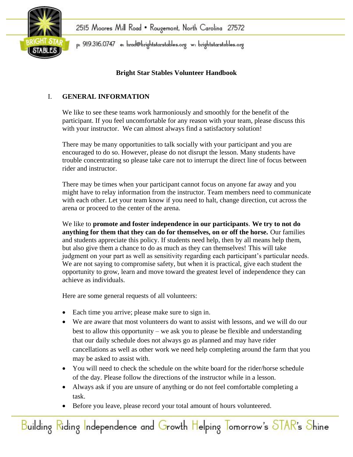

## **Bright Star Stables Volunteer Handbook**

## I. **GENERAL INFORMATION**

We like to see these teams work harmoniously and smoothly for the benefit of the participant. If you feel uncomfortable for any reason with your team, please discuss this with your instructor. We can almost always find a satisfactory solution!

There may be many opportunities to talk socially with your participant and you are encouraged to do so. However, please do not disrupt the lesson. Many students have trouble concentrating so please take care not to interrupt the direct line of focus between rider and instructor.

There may be times when your participant cannot focus on anyone far away and you might have to relay information from the instructor. Team members need to communicate with each other. Let your team know if you need to halt, change direction, cut across the arena or proceed to the center of the arena.

We like to **promote and foster independence in our participants**. **We try to not do anything for them that they can do for themselves, on or off the horse.** Our families and students appreciate this policy. If students need help, then by all means help them, but also give them a chance to do as much as they can themselves! This will take judgment on your part as well as sensitivity regarding each participant's particular needs. We are not saying to compromise safety, but when it is practical, give each student the opportunity to grow, learn and move toward the greatest level of independence they can achieve as individuals.

Here are some general requests of all volunteers:

- Each time you arrive; please make sure to sign in.
- We are aware that most volunteers do want to assist with lessons, and we will do our best to allow this opportunity – we ask you to please be flexible and understanding that our daily schedule does not always go as planned and may have rider cancellations as well as other work we need help completing around the farm that you may be asked to assist with.
- You will need to check the schedule on the white board for the rider/horse schedule of the day. Please follow the directions of the instructor while in a lesson.
- Always ask if you are unsure of anything or do not feel comfortable completing a task.
- Before you leave, please record your total amount of hours volunteered.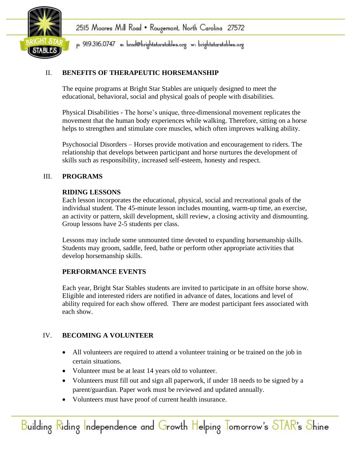

p: 919.316.0747 e: brad@brightstarstables.org w: brightstarstables.org

## II. **BENEFITS OF THERAPEUTIC HORSEMANSHIP**

The equine programs at Bright Star Stables are uniquely designed to meet the educational, behavioral, social and physical goals of people with disabilities.

Physical Disabilities - The horse's unique, three-dimensional movement replicates the movement that the human body experiences while walking. Therefore, sitting on a horse helps to strengthen and stimulate core muscles, which often improves walking ability.

Psychosocial Disorders – Horses provide motivation and encouragement to riders. The relationship that develops between participant and horse nurtures the development of skills such as responsibility, increased self-esteem, honesty and respect.

#### III. **PROGRAMS**

#### **RIDING LESSONS**

Each lesson incorporates the educational, physical, social and recreational goals of the individual student. The 45-minute lesson includes mounting, warm-up time, an exercise, an activity or pattern, skill development, skill review, a closing activity and dismounting. Group lessons have 2-5 students per class.

Lessons may include some unmounted time devoted to expanding horsemanship skills. Students may groom, saddle, feed, bathe or perform other appropriate activities that develop horsemanship skills.

#### **PERFORMANCE EVENTS**

Each year, Bright Star Stables students are invited to participate in an offsite horse show. Eligible and interested riders are notified in advance of dates, locations and level of ability required for each show offered. There are modest participant fees associated with each show.

#### IV. **BECOMING A VOLUNTEER**

- All volunteers are required to attend a volunteer training or be trained on the job in certain situations.
- Volunteer must be at least 14 years old to volunteer.
- Volunteers must fill out and sign all paperwork, if under 18 needs to be signed by a parent/guardian. Paper work must be reviewed and updated annually.
- Volunteers must have proof of current health insurance.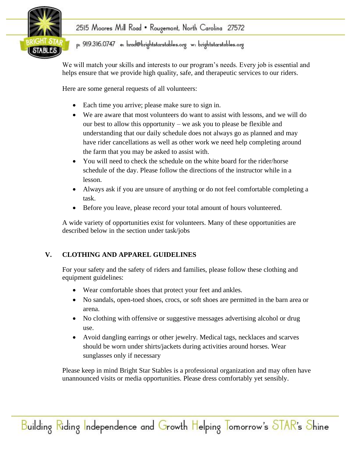

# p: 919.316.0747 e: brad@brightstarstables.org w: brightstarstables.org

We will match your skills and interests to our program's needs. Every job is essential and helps ensure that we provide high quality, safe, and therapeutic services to our riders.

Here are some general requests of all volunteers:

- Each time you arrive; please make sure to sign in.
- We are aware that most volunteers do want to assist with lessons, and we will do our best to allow this opportunity – we ask you to please be flexible and understanding that our daily schedule does not always go as planned and may have rider cancellations as well as other work we need help completing around the farm that you may be asked to assist with.
- You will need to check the schedule on the white board for the rider/horse schedule of the day. Please follow the directions of the instructor while in a lesson.
- Always ask if you are unsure of anything or do not feel comfortable completing a task.
- Before you leave, please record your total amount of hours volunteered.

A wide variety of opportunities exist for volunteers. Many of these opportunities are described below in the section under task/jobs

## **V. CLOTHING AND APPAREL GUIDELINES**

For your safety and the safety of riders and families, please follow these clothing and equipment guidelines:

- Wear comfortable shoes that protect your feet and ankles.
- No sandals, open-toed shoes, crocs, or soft shoes are permitted in the barn area or arena.
- No clothing with offensive or suggestive messages advertising alcohol or drug use.
- Avoid dangling earrings or other jewelry. Medical tags, necklaces and scarves should be worn under shirts/jackets during activities around horses. Wear sunglasses only if necessary

Please keep in mind Bright Star Stables is a professional organization and may often have unannounced visits or media opportunities. Please dress comfortably yet sensibly.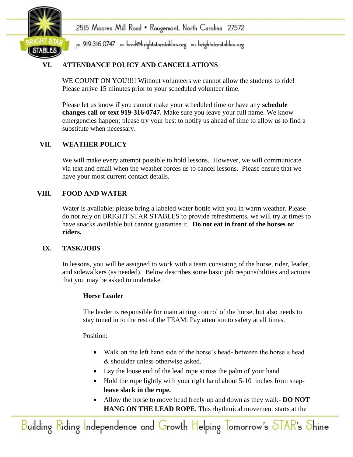

p: 919.316.0747 e: brad@brightstarstables.org w: brightstarstables.org

## **VI. ATTENDANCE POLICY AND CANCELLATIONS**

WE COUNT ON YOU!!!! Without volunteers we cannot allow the students to ride! Please arrive 15 minutes prior to your scheduled volunteer time.

Please let us know if you cannot make your scheduled time or have any **schedule changes call or text 919-316-0747.** Make sure you leave your full name. We know emergencies happen; please try your best to notify us ahead of time to allow us to find a substitute when necessary.

## **VII. WEATHER POLICY**

We will make every attempt possible to hold lessons. However, we will communicate via text and email when the weather forces us to cancel lessons. Please ensure that we have your most current contact details.

## **VIII. FOOD AND WATER**

Water is available; please bring a labeled water bottle with you in warm weather. Please do not rely on BRIGHT STAR STABLES to provide refreshments, we will try at times to have snacks available but cannot guarantee it. **Do not eat in front of the horses or riders.** 

#### **IX. TASK/JOBS**

In lessons, you will be assigned to work with a team consisting of the horse, rider, leader, and sidewalkers (as needed). Below describes some basic job responsibilities and actions that you may be asked to undertake.

#### **Horse Leader**

The leader is responsible for maintaining control of the horse, but also needs to stay tuned in to the rest of the TEAM. Pay attention to safety at all times.

Position:

- Walk on the left hand side of the horse's head- between the horse's head & shoulder unless otherwise asked.
- Lay the loose end of the lead rope across the palm of your hand
- Hold the rope lightly with your right hand about 5-10 inches from snap**leave slack in the rope.**
- Allow the horse to move head freely up and down as they walk- **DO NOT HANG ON THE LEAD ROPE**. This rhythmical movement starts at the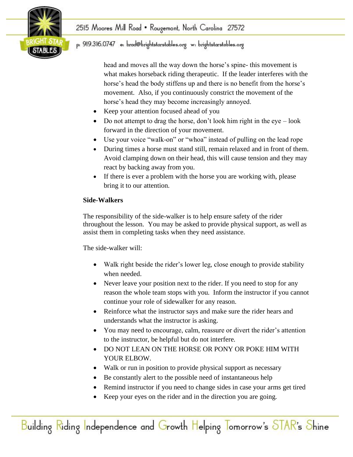

## p: 919.316.0747 e: brad@brightstarstables.org w: brightstarstables.org

head and moves all the way down the horse's spine- this movement is what makes horseback riding therapeutic. If the leader interferes with the horse's head the body stiffens up and there is no benefit from the horse's movement. Also, if you continuously constrict the movement of the horse's head they may become increasingly annoyed.

- Keep your attention focused ahead of you
- Do not attempt to drag the horse, don't look him right in the eye look forward in the direction of your movement.
- Use your voice "walk-on" or "whoa" instead of pulling on the lead rope
- During times a horse must stand still, remain relaxed and in front of them. Avoid clamping down on their head, this will cause tension and they may react by backing away from you.
- If there is ever a problem with the horse you are working with, please bring it to our attention.

## **Side-Walkers**

The responsibility of the side-walker is to help ensure safety of the rider throughout the lesson. You may be asked to provide physical support, as well as assist them in completing tasks when they need assistance.

The side-walker will:

- Walk right beside the rider's lower leg, close enough to provide stability when needed.
- Never leave your position next to the rider. If you need to stop for any reason the whole team stops with you. Inform the instructor if you cannot continue your role of sidewalker for any reason.
- Reinforce what the instructor says and make sure the rider hears and understands what the instructor is asking.
- You may need to encourage, calm, reassure or divert the rider's attention to the instructor, be helpful but do not interfere.
- DO NOT LEAN ON THE HORSE OR PONY OR POKE HIM WITH YOUR ELBOW.
- Walk or run in position to provide physical support as necessary
- Be constantly alert to the possible need of instantaneous help
- Remind instructor if you need to change sides in case your arms get tired
- Keep your eyes on the rider and in the direction you are going.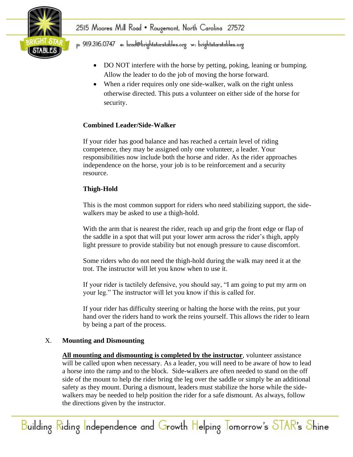

- DO NOT interfere with the horse by petting, poking, leaning or bumping. Allow the leader to do the job of moving the horse forward.
- When a rider requires only one side-walker, walk on the right unless otherwise directed. This puts a volunteer on either side of the horse for security.

## **Combined Leader/Side-Walker**

If your rider has good balance and has reached a certain level of riding competence, they may be assigned only one volunteer, a leader. Your responsibilities now include both the horse and rider. As the rider approaches independence on the horse, your job is to be reinforcement and a security resource.

## **Thigh-Hold**

This is the most common support for riders who need stabilizing support, the sidewalkers may be asked to use a thigh-hold.

With the arm that is nearest the rider, reach up and grip the front edge or flap of the saddle in a spot that will put your lower arm across the rider's thigh, apply light pressure to provide stability but not enough pressure to cause discomfort.

Some riders who do not need the thigh-hold during the walk may need it at the trot. The instructor will let you know when to use it.

If your rider is tactilely defensive, you should say, "I am going to put my arm on your leg." The instructor will let you know if this is called for.

If your rider has difficulty steering or halting the horse with the reins, put your hand over the riders hand to work the reins yourself. This allows the rider to learn by being a part of the process.

## X. **Mounting and Dismounting**

**All mounting and dismounting is completed by the instructor**, volunteer assistance will be called upon when necessary. As a leader, you will need to be aware of how to lead a horse into the ramp and to the block. Side-walkers are often needed to stand on the off side of the mount to help the rider bring the leg over the saddle or simply be an additional safety as they mount. During a dismount, leaders must stabilize the horse while the sidewalkers may be needed to help position the rider for a safe dismount. As always, follow the directions given by the instructor.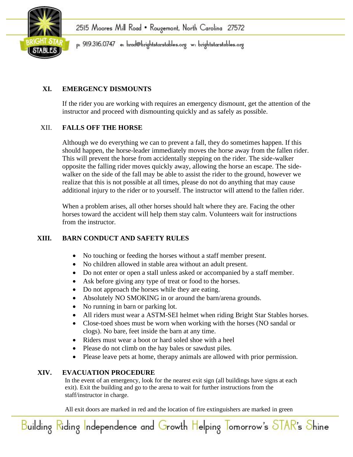

## **XI. EMERGENCY DISMOUNTS**

If the rider you are working with requires an emergency dismount, get the attention of the instructor and proceed with dismounting quickly and as safely as possible.

## XII. **FALLS OFF THE HORSE**

Although we do everything we can to prevent a fall, they do sometimes happen. If this should happen, the horse-leader immediately moves the horse away from the fallen rider. This will prevent the horse from accidentally stepping on the rider. The side-walker opposite the falling rider moves quickly away, allowing the horse an escape. The sidewalker on the side of the fall may be able to assist the rider to the ground, however we realize that this is not possible at all times, please do not do anything that may cause additional injury to the rider or to yourself. The instructor will attend to the fallen rider.

When a problem arises, all other horses should halt where they are. Facing the other horses toward the accident will help them stay calm. Volunteers wait for instructions from the instructor.

## **XIII. BARN CONDUCT AND SAFETY RULES**

- No touching or feeding the horses without a staff member present.
- No children allowed in stable area without an adult present.
- Do not enter or open a stall unless asked or accompanied by a staff member.
- Ask before giving any type of treat or food to the horses.
- Do not approach the horses while they are eating.
- Absolutely NO SMOKING in or around the barn/arena grounds.
- No running in barn or parking lot.
- All riders must wear a ASTM-SEI helmet when riding Bright Star Stables horses.
- Close-toed shoes must be worn when working with the horses (NO sandal or clogs). No bare, feet inside the barn at any time.
- Riders must wear a boot or hard soled shoe with a heel
- Please do not climb on the hay bales or sawdust piles.
- Please leave pets at home, therapy animals are allowed with prior permission.

## **XIV. EVACUATION PROCEDURE**

In the event of an emergency, look for the nearest exit sign (all buildings have signs at each exit). Exit the building and go to the arena to wait for further instructions from the staff/instructor in charge.

All exit doors are marked in red and the location of fire extinguishers are marked in green

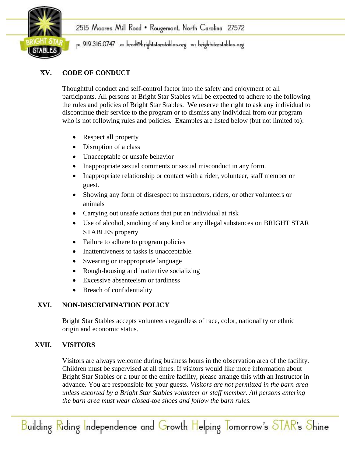

## **XV. CODE OF CONDUCT**

Thoughtful conduct and self-control factor into the safety and enjoyment of all participants. All persons at Bright Star Stables will be expected to adhere to the following the rules and policies of Bright Star Stables. We reserve the right to ask any individual to discontinue their service to the program or to dismiss any individual from our program who is not following rules and policies. Examples are listed below (but not limited to):

- Respect all property
- Disruption of a class
- Unacceptable or unsafe behavior
- Inappropriate sexual comments or sexual misconduct in any form.
- Inappropriate relationship or contact with a rider, volunteer, staff member or guest.
- Showing any form of disrespect to instructors, riders, or other volunteers or animals
- Carrying out unsafe actions that put an individual at risk
- Use of alcohol, smoking of any kind or any illegal substances on BRIGHT STAR STABLES property
- Failure to adhere to program policies
- Inattentiveness to tasks is unacceptable.
- Swearing or inappropriate language
- Rough-housing and inattentive socializing
- Excessive absenteeism or tardiness
- Breach of confidentiality

## **XVI. NON-DISCRIMINATION POLICY**

Bright Star Stables accepts volunteers regardless of race, color, nationality or ethnic origin and economic status.

## **XVII. VISITORS**

Visitors are always welcome during business hours in the observation area of the facility. Children must be supervised at all times. If visitors would like more information about Bright Star Stables or a tour of the entire facility, please arrange this with an Instructor in advance. You are responsible for your guests. *Visitors are not permitted in the barn area unless escorted by a Bright Star Stables volunteer or staff member. All persons entering the barn area must wear closed-toe shoes and follow the barn rules.*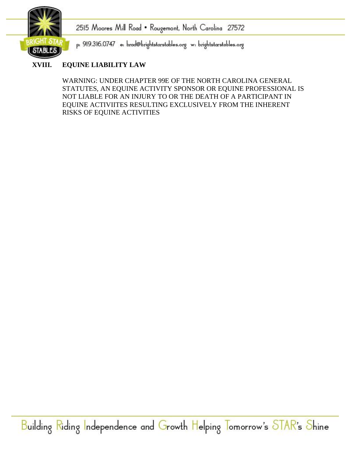

p: 919.316.0747 e: brad@brightstarstables.org w: brightstarstables.org

## **XVIII. EQUINE LIABILITY LAW**

WARNING: UNDER CHAPTER 99E OF THE NORTH CAROLINA GENERAL STATUTES, AN EQUINE ACTIVITY SPONSOR OR EQUINE PROFESSIONAL IS NOT LIABLE FOR AN INJURY TO OR THE DEATH OF A PARTICIPANT IN EQUINE ACTIVIITES RESULTING EXCLUSIVELY FROM THE INHERENT RISKS OF EQUINE ACTIVITIES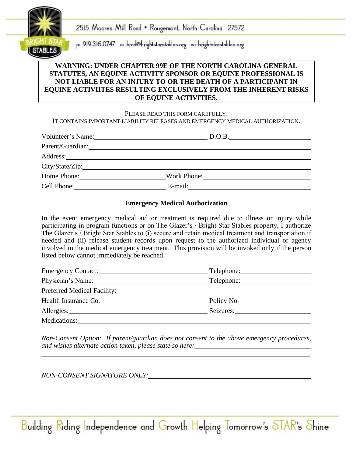

p: 919.316.0747 e: brad@brightstarstables.org w: brightstarstables.org

#### **WARNING: UNDER CHAPTER 99E OF THE NORTH CAROLINA GENERAL STATUTES, AN EQUINE ACTIVITY SPONSOR OR EQUINE PROFESSIONAL IS NOT LIABLE FOR AN INJURY TO OR THE DEATH OF A PARTICIPANT IN EQUINE ACTIVIITES RESULTING EXCLUSIVELY FROM THE INHERENT RISKS OF EQUINE ACTIVITIES.**

#### PLEASE READ THIS FORM CAREFULLY. IT CONTAINS IMPORTANT LIABILITY RELEASES AND EMERGENCY MEDICAL AUTHORIZATION.

|             | Volunteer's Name: D.O.B. |  |
|-------------|--------------------------|--|
|             |                          |  |
|             |                          |  |
|             |                          |  |
| Home Phone: | Work Phone: 2008         |  |
| Cell Phone: | E-mail: $\qquad \qquad$  |  |

#### **Emergency Medical Authorization**

In the event emergency medical aid or treatment is required due to illness or injury while participating in program functions or on The Glazer's / Bright Star Stables property, I authorize The Glazer's / Bright Star Stables to (i) secure and retain medical treatment and transportation if needed and (ii) release student records upon request to the authorized individual or agency involved in the medical emergency treatment. This provision will be invoked only if the person listed below cannot immediately be reached.

| Emergency Contact:                    | Telephone: |
|---------------------------------------|------------|
| Physician's Name:                     | Telephone: |
| Preferred Medical Facility: 1997 1997 |            |
| Health Insurance Co.                  | Policy No. |
|                                       | Seizures:  |
| Medications:                          |            |

*Non-Consent Option: If parent/guardian does not consent to the above emergency procedures, and wishes alternate action taken, please state so here: .*

Building Riding Independence and Growth Helping Tomorrow's STAR's Shine

*NON-CONSENT SIGNATURE ONLY:*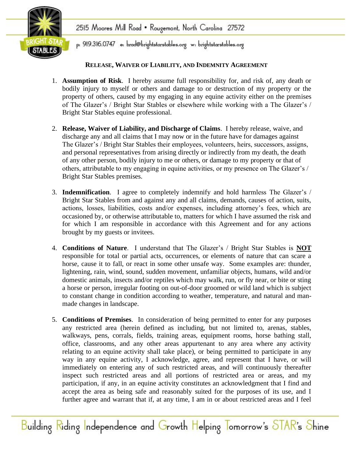

## p: 919.316.0747 e: brad@brightstarstables.org w: brightstarstables.org

#### **RELEASE, WAIVER OF LIABILITY, AND INDEMNITY AGREEMENT**

- 1. **Assumption of Risk**. I hereby assume full responsibility for, and risk of, any death or bodily injury to myself or others and damage to or destruction of my property or the property of others, caused by my engaging in any equine activity either on the premises of The Glazer's / Bright Star Stables or elsewhere while working with a The Glazer's / Bright Star Stables equine professional.
- 2. **Release, Waiver of Liability, and Discharge of Claims**. I hereby release, waive, and discharge any and all claims that I may now or in the future have for damages against The Glazer's / Bright Star Stables their employees, volunteers, heirs, successors, assigns, and personal representatives from arising directly or indirectly from my death, the death of any other person, bodily injury to me or others, or damage to my property or that of others, attributable to my engaging in equine activities, or my presence on The Glazer's / Bright Star Stables premises.
- 3. **Indemnification**. I agree to completely indemnify and hold harmless The Glazer's / Bright Star Stables from and against any and all claims, demands, causes of action, suits, actions, losses, liabilities, costs and/or expenses, including attorney's fees, which are occasioned by, or otherwise attributable to, matters for which I have assumed the risk and for which I am responsible in accordance with this Agreement and for any actions brought by my guests or invitees.
- 4. **Conditions of Nature**. I understand that The Glazer's / Bright Star Stables is **NOT** responsible for total or partial acts, occurrences, or elements of nature that can scare a horse, cause it to fall, or react in some other unsafe way. Some examples are: thunder, lightening, rain, wind, sound, sudden movement, unfamiliar objects, humans, wild and/or domestic animals, insects and/or reptiles which may walk, run, or fly near, or bite or sting a horse or person, irregular footing on out-of-door groomed or wild land which is subject to constant change in condition according to weather, temperature, and natural and manmade changes in landscape.
- 5. **Conditions of Premises**. In consideration of being permitted to enter for any purposes any restricted area (herein defined as including, but not limited to, arenas, stables, walkways, pens, corrals, fields, training areas, equipment rooms, horse bathing stall, office, classrooms, and any other areas appurtenant to any area where any activity relating to an equine activity shall take place), or being permitted to participate in any way in any equine activity, I acknowledge, agree, and represent that I have, or will immediately on entering any of such restricted areas, and will continuously thereafter inspect such restricted areas and all portions of restricted area or areas, and my participation, if any, in an equine activity constitutes an acknowledgment that I find and accept the area as being safe and reasonably suited for the purposes of its use, and I further agree and warrant that if, at any time, I am in or about restricted areas and I feel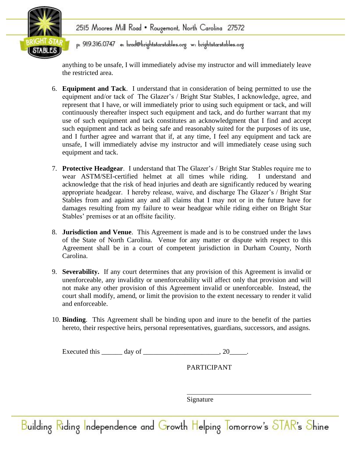

p: 919.316.0747 e: brad@brightstarstables.org w: brightstarstables.org

anything to be unsafe, I will immediately advise my instructor and will immediately leave the restricted area.

- 6. **Equipment and Tack**. I understand that in consideration of being permitted to use the equipment and/or tack of The Glazer's / Bright Star Stables, I acknowledge, agree, and represent that I have, or will immediately prior to using such equipment or tack, and will continuously thereafter inspect such equipment and tack, and do further warrant that my use of such equipment and tack constitutes an acknowledgment that I find and accept such equipment and tack as being safe and reasonably suited for the purposes of its use, and I further agree and warrant that if, at any time, I feel any equipment and tack are unsafe, I will immediately advise my instructor and will immediately cease using such equipment and tack.
- 7. **Protective Headgear**. I understand that The Glazer's / Bright Star Stables require me to wear ASTM/SEI-certified helmet at all times while riding. I understand and acknowledge that the risk of head injuries and death are significantly reduced by wearing appropriate headgear. I hereby release, waive, and discharge The Glazer's / Bright Star Stables from and against any and all claims that I may not or in the future have for damages resulting from my failure to wear headgear while riding either on Bright Star Stables' premises or at an offsite facility.
- 8. **Jurisdiction and Venue**. This Agreement is made and is to be construed under the laws of the State of North Carolina. Venue for any matter or dispute with respect to this Agreement shall be in a court of competent jurisdiction in Durham County, North Carolina.
- 9. **Severability.** If any court determines that any provision of this Agreement is invalid or unenforceable, any invalidity or unenforceability will affect only that provision and will not make any other provision of this Agreement invalid or unenforceable. Instead, the court shall modify, amend, or limit the provision to the extent necessary to render it valid and enforceable.
- 10. **Binding**. This Agreement shall be binding upon and inure to the benefit of the parties hereto, their respective heirs, personal representatives, guardians, successors, and assigns.

| Executed this | $\mu$ av |  |
|---------------|----------|--|
|---------------|----------|--|

PARTICIPANT

Signature